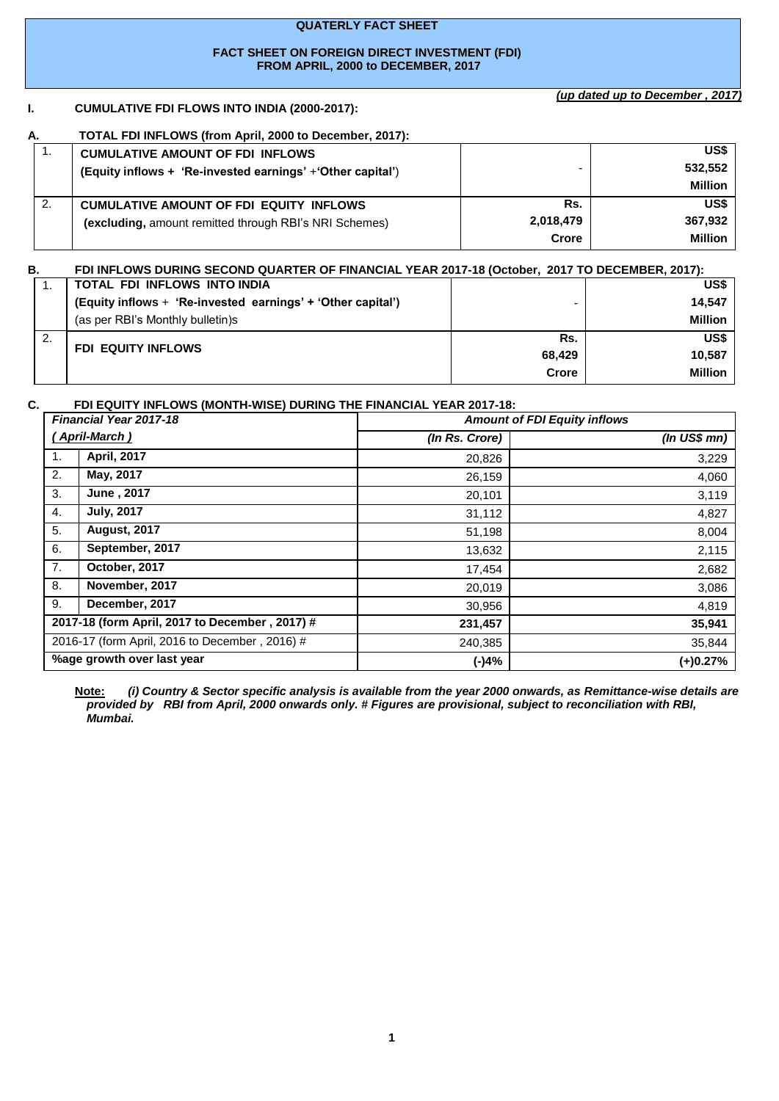#### **QUATERLY FACT SHEET**

#### **FACT SHEET ON FOREIGN DIRECT INVESTMENT (FDI) FROM APRIL, 2000 to DECEMBER, 2017**

### **I. CUMULATIVE FDI FLOWS INTO INDIA (2000-2017):**

*(up dated up to December , 2017)*

| А.  | TOTAL FDI INFLOWS (from April, 2000 to December, 2017):     |           |                |
|-----|-------------------------------------------------------------|-----------|----------------|
| . . | <b>CUMULATIVE AMOUNT OF FDI INFLOWS</b>                     |           | US\$           |
|     | (Equity inflows + 'Re-invested earnings' + 'Other capital') |           | 532,552        |
|     |                                                             |           | <b>Million</b> |
| 2.  | <b>CUMULATIVE AMOUNT OF FDI EQUITY INFLOWS</b>              | Rs.       | US\$           |
|     | (excluding, amount remitted through RBI's NRI Schemes)      | 2,018,479 | 367,932        |
|     |                                                             | Crore     | <b>Million</b> |

| В. | FDI INFLOWS DURING SECOND QUARTER OF FINANCIAL YEAR 2017-18 (October, 2017 TO DECEMBER, 2017): |              |                |
|----|------------------------------------------------------------------------------------------------|--------------|----------------|
|    | TOTAL FDI INFLOWS INTO INDIA                                                                   |              | US\$           |
|    | (Equity inflows + 'Re-invested earnings' + 'Other capital')                                    |              | 14.547         |
|    | (as per RBI's Monthly bulletin)s                                                               |              | <b>Million</b> |
| 2. |                                                                                                | Rs.          | US\$           |
|    | <b>FDI EQUITY INFLOWS</b>                                                                      | 68.429       | 10.587         |
|    |                                                                                                | <b>Crore</b> | <b>Million</b> |

#### **C. FDI EQUITY INFLOWS (MONTH-WISE) DURING THE FINANCIAL YEAR 2017-18:**

|    | <b>Financial Year 2017-18</b>                  | <b>Amount of FDI Equity inflows</b> |                  |  |
|----|------------------------------------------------|-------------------------------------|------------------|--|
|    | <u>(April-March)</u>                           | (In Rs. Crore)                      | $(ln$ US\$ $mn)$ |  |
| 1. | April, 2017                                    | 20,826                              | 3,229            |  |
| 2. | May, 2017                                      | 26,159                              | 4,060            |  |
| 3. | June, 2017                                     | 20,101                              | 3,119            |  |
| 4. | <b>July, 2017</b>                              | 31,112                              | 4,827            |  |
| 5. | <b>August, 2017</b>                            | 51,198                              | 8,004            |  |
| 6. | September, 2017                                | 13,632                              | 2,115            |  |
| 7. | October, 2017                                  | 17,454                              | 2,682            |  |
| 8. | November, 2017                                 | 20,019                              | 3,086            |  |
| 9. | December, 2017                                 | 30,956                              | 4,819            |  |
|    | 2017-18 (form April, 2017 to December, 2017) # | 231,457                             | 35,941           |  |
|    | 2016-17 (form April, 2016 to December, 2016) # | 240,385                             | 35,844           |  |
|    | %age growth over last year                     | (-)4%                               | $(+)0.27%$       |  |

**Note:** *(i) Country & Sector specific analysis is available from the year 2000 onwards, as Remittance-wise details are provided by RBI from April, 2000 onwards only. # Figures are provisional, subject to reconciliation with RBI, Mumbai.*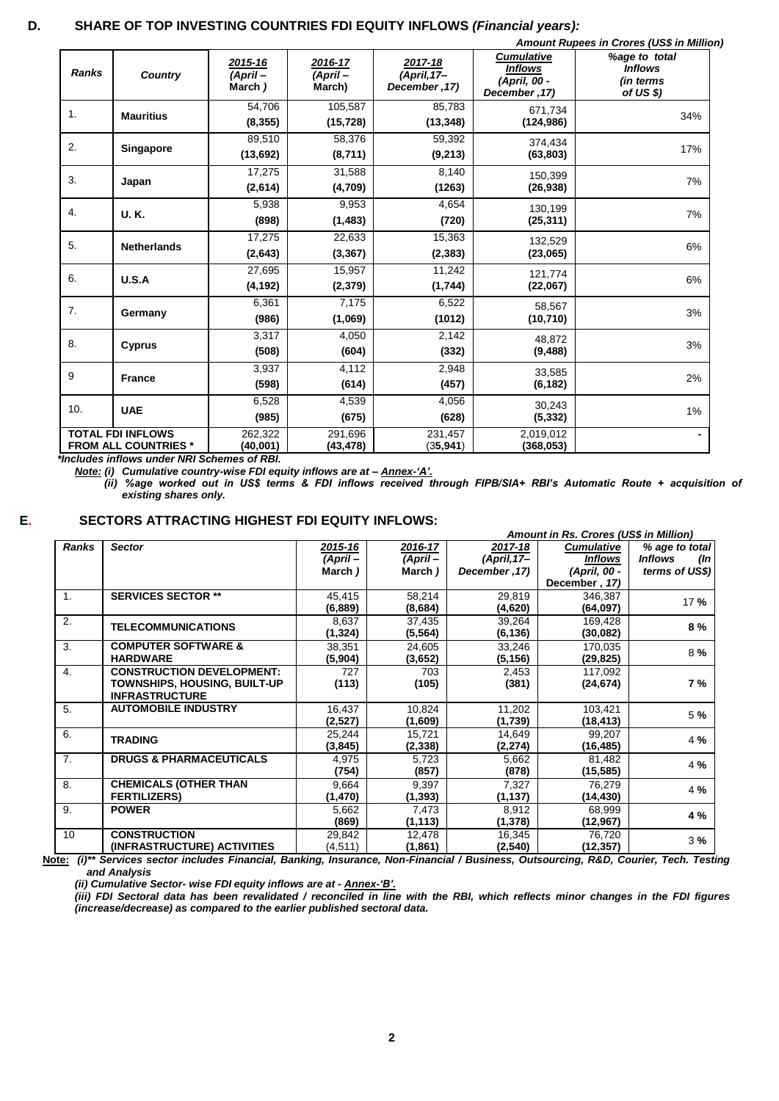# **D. SHARE OF TOP INVESTING COUNTRIES FDI EQUITY INFLOWS** *(Financial years):*

|              |                                                                                                       |                              |                              |                                           |                                                                      | Amount Rupees in Crores (US\$ in Million)                 |
|--------------|-------------------------------------------------------------------------------------------------------|------------------------------|------------------------------|-------------------------------------------|----------------------------------------------------------------------|-----------------------------------------------------------|
| <b>Ranks</b> | <b>Country</b>                                                                                        | 2015-16<br>(April-<br>March) | 2016-17<br>(April-<br>March) | 2017-18<br>$(April, 17-$<br>December, 17) | <b>Cumulative</b><br><b>Inflows</b><br>(April, 00 -<br>December, 17) | %age to total<br><b>Inflows</b><br>(in terms<br>of US \$) |
| 1.           | <b>Mauritius</b>                                                                                      | 54.706<br>(8, 355)           | 105,587<br>(15, 728)         | 85.783<br>(13, 348)                       | 671,734<br>(124, 986)                                                | 34%                                                       |
| 2.           | Singapore                                                                                             | 89,510<br>(13,692)           | 58,376<br>(8,711)            | 59,392<br>(9,213)                         | 374,434<br>(63, 803)                                                 | 17%                                                       |
| 3.           | Japan                                                                                                 | 17,275<br>(2,614)            | 31,588<br>(4,709)            | 8,140<br>(1263)                           | 150.399<br>(26, 938)                                                 | 7%                                                        |
| 4.           | <b>U.K.</b>                                                                                           | 5,938<br>(898)               | 9,953<br>(1, 483)            | 4,654<br>(720)                            | 130,199<br>(25, 311)                                                 | 7%                                                        |
| 5.           | <b>Netherlands</b>                                                                                    | 17,275<br>(2,643)            | 22,633<br>(3, 367)           | 15,363<br>(2, 383)                        | 132,529<br>(23,065)                                                  | 6%                                                        |
| 6.           | U.S.A                                                                                                 | 27,695<br>(4, 192)           | 15,957<br>(2, 379)           | 11,242<br>(1,744)                         | 121,774<br>(22,067)                                                  | 6%                                                        |
| 7.           | Germany                                                                                               | 6,361<br>(986)               | 7,175<br>(1,069)             | 6,522<br>(1012)                           | 58.567<br>(10, 710)                                                  | 3%                                                        |
| 8.           | Cyprus                                                                                                | 3,317<br>(508)               | 4,050<br>(604)               | 2,142<br>(332)                            | 48,872<br>(9, 488)                                                   | 3%                                                        |
| 9            | <b>France</b>                                                                                         | 3,937<br>(598)               | 4,112<br>(614)               | 2,948<br>(457)                            | 33,585<br>(6, 182)                                                   | 2%                                                        |
| 10.          | <b>UAE</b>                                                                                            | 6,528<br>(985)               | 4,539<br>(675)               | 4,056<br>(628)                            | 30,243<br>(5, 332)                                                   | 1%                                                        |
|              | <b>TOTAL FDI INFLOWS</b><br><b>FROM ALL COUNTRIES *</b><br>*Includes inflows under NRI Schemes of RRI | 262,322<br>(40,001)          | 291,696<br>(43, 478)         | 231,457<br>(35, 941)                      | 2,019,012<br>(368, 053)                                              |                                                           |

 *\*Includes inflows under NRI Schemes of RBI.*

*Note: (i) Cumulative country-wise FDI equity inflows are at – Annex-'A'.*

*(ii) %age worked out in US\$ terms & FDI inflows received through FIPB/SIA+ RBI's Automatic Route + acquisition of existing shares only.*

| __ |  |
|----|--|
|    |  |
|    |  |

#### **E. SECTORS ATTRACTING HIGHEST FDI EQUITY INFLOWS:**

|                |                                    | Amount in Rs. Crores (US\$ in Million) |          |               |                   |                              |
|----------------|------------------------------------|----------------------------------------|----------|---------------|-------------------|------------------------------|
| <b>Ranks</b>   | <b>Sector</b>                      | 2015-16                                | 2016-17  | 2017-18       | <b>Cumulative</b> | % age to total               |
|                |                                    | (April –                               | (April-  | $(April, 17-$ | <b>Inflows</b>    | <b>Inflows</b><br>$(\ln  \)$ |
|                |                                    | March)                                 | March)   | December, 17) | (April, 00 -      | terms of US\$)               |
|                |                                    |                                        |          |               | December, 17)     |                              |
| 1.             | <b>SERVICES SECTOR **</b>          | 45,415                                 | 58,214   | 29,819        | 346,387           | 17%                          |
|                |                                    | (6,889)                                | (8,684)  | (4,620)       | (64,097)          |                              |
| 2.             | <b>TELECOMMUNICATIONS</b>          | 8,637                                  | 37,435   | 39,264        | 169,428           | 8%                           |
|                |                                    | (1, 324)                               | (5, 564) | (6, 136)      | (30,082)          |                              |
| 3.             | <b>COMPUTER SOFTWARE &amp;</b>     | 38,351                                 | 24,605   | 33,246        | 170,035           | 8%                           |
|                | <b>HARDWARE</b>                    | (5,904)                                | (3,652)  | (5, 156)      | (29, 825)         |                              |
| 4.             | <b>CONSTRUCTION DEVELOPMENT:</b>   | 727                                    | 703      | 2,453         | 117,092           |                              |
|                | TOWNSHIPS, HOUSING, BUILT-UP       | (113)                                  | (105)    | (381)         | (24, 674)         | 7 %                          |
|                | <b>INFRASTRUCTURE</b>              |                                        |          |               |                   |                              |
| 5.             | <b>AUTOMOBILE INDUSTRY</b>         | 16,437                                 | 10,824   | 11,202        | 103,421           | 5 %                          |
|                |                                    | (2,527)                                | (1,609)  | (1,739)       | (18,413)          |                              |
| 6.             | <b>TRADING</b>                     | 25,244                                 | 15,721   | 14,649        | 99,207            | 4 %                          |
|                |                                    | (3, 845)                               | (2, 338) | (2, 274)      | (16,485)          |                              |
| 7 <sub>1</sub> | <b>DRUGS &amp; PHARMACEUTICALS</b> | 4,975                                  | 5,723    | 5,662         | 81,482            |                              |
|                |                                    | (754)                                  | (857)    | (878)         | (15, 585)         | 4 %                          |
| 8.             | <b>CHEMICALS (OTHER THAN</b>       | 9,664                                  | 9,397    | 7,327         | 76,279            |                              |
|                | <b>FERTILIZERS)</b>                | (1, 470)                               | (1, 393) | (1, 137)      | (14, 430)         | 4 %                          |
| 9.             | <b>POWER</b>                       | 5,662                                  | 7,473    | 8,912         | 68,999            |                              |
|                |                                    | (869)                                  | (1, 113) | (1,378)       | (12, 967)         | 4 %                          |
| 10             | <b>CONSTRUCTION</b>                | 29,842                                 | 12,478   | 16,345        | 76,720            |                              |
|                | (INFRASTRUCTURE) ACTIVITIES        | (4,511)                                | (1,861)  | (2,540)       | (12, 357)         | 3%                           |

 **Note:** *(i)\*\* Services sector includes Financial, Banking, Insurance, Non-Financial / Business, Outsourcing, R&D, Courier, Tech. Testing and Analysis*

*(ii) Cumulative Sector- wise FDI equity inflows are at - Annex-'B'.*

*(iii) FDI Sectoral data has been revalidated / reconciled in line with the RBI, which reflects minor changes in the FDI figures (increase/decrease) as compared to the earlier published sectoral data.*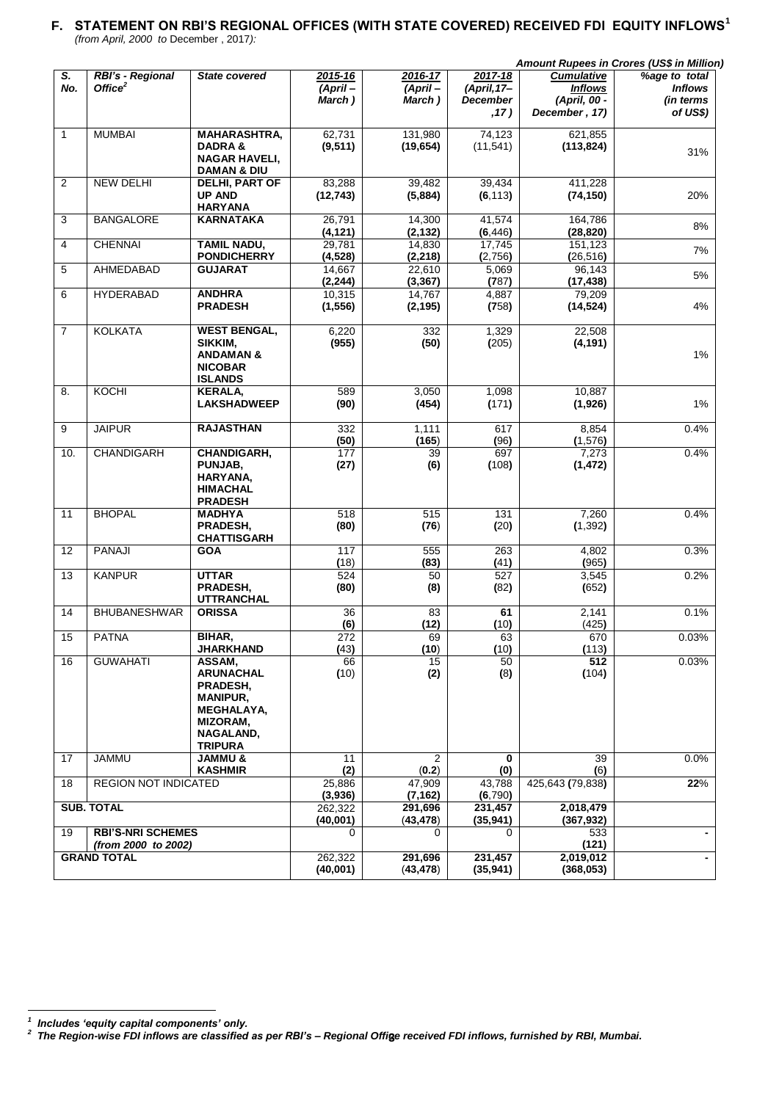# **F. STATEMENT ON RBI'S REGIONAL OFFICES (WITH STATE COVERED) RECEIVED FDI EQUITY INFLOWS<sup>1</sup>** *(from April, 2000 to* December , 2017*):*

|                |                                                 |                                                                                                                                  |                              |                              |                                    |                                                     | Amount Rupees in Crores (US\$ in Million)    |
|----------------|-------------------------------------------------|----------------------------------------------------------------------------------------------------------------------------------|------------------------------|------------------------------|------------------------------------|-----------------------------------------------------|----------------------------------------------|
| S.<br>No.      | RBI's - Regional<br>Office <sup>2</sup>         | <b>State covered</b>                                                                                                             | 2015-16<br>(April-<br>March) | 2016-17<br>(April-<br>March) | 2017-18<br>(April, 17-<br>December | <b>Cumulative</b><br><b>Inflows</b><br>(April, 00 - | %age to total<br><b>Inflows</b><br>(in terms |
|                |                                                 |                                                                                                                                  |                              |                              | , 17)                              | December, 17)                                       | of US\$)                                     |
| $\mathbf{1}$   | <b>MUMBAI</b>                                   | <b>MAHARASHTRA,</b><br>DADRA&<br><b>NAGAR HAVELI,</b><br><b>DAMAN &amp; DIU</b>                                                  | 62,731<br>(9, 511)           | 131,980<br>(19, 654)         | 74,123<br>(11, 541)                | 621,855<br>(113, 824)                               | 31%                                          |
| 2              | <b>NEW DELHI</b>                                | DELHI, PART OF<br><b>UP AND</b><br><b>HARYANA</b>                                                                                | 83,288<br>(12, 743)          | 39,482<br>(5,884)            | 39,434<br>(6, 113)                 | 411,228<br>(74, 150)                                | 20%                                          |
| 3              | <b>BANGALORE</b>                                | <b>KARNATAKA</b>                                                                                                                 | 26,791<br>(4, 121)           | 14,300<br>(2, 132)           | 41,574<br>(6, 446)                 | 164,786<br>(28, 820)                                | 8%                                           |
| 4              | <b>CHENNAI</b>                                  | <b>TAMIL NADU,</b><br><b>PONDICHERRY</b>                                                                                         | 29,781<br>(4,528)            | 14,830<br>(2, 218)           | 17,745<br>(2,756)                  | 151,123<br>(26, 516)                                | 7%                                           |
| 5              | AHMEDABAD                                       | <b>GUJARAT</b>                                                                                                                   | 14,667<br>(2, 244)           | 22,610<br>(3, 367)           | 5,069<br>(787)                     | 96,143<br>(17, 438)                                 | 5%                                           |
| 6              | <b>HYDERABAD</b>                                | <b>ANDHRA</b><br><b>PRADESH</b>                                                                                                  | 10,315<br>(1, 556)           | 14,767<br>(2, 195)           | 4,887<br>(758)                     | 79,209<br>(14, 524)                                 | 4%                                           |
| $\overline{7}$ | <b>KOLKATA</b>                                  | <b>WEST BENGAL,</b><br>SIKKIM.<br><b>ANDAMAN &amp;</b><br><b>NICOBAR</b><br><b>ISLANDS</b>                                       | 6,220<br>(955)               | 332<br>(50)                  | 1,329<br>(205)                     | 22,508<br>(4, 191)                                  | 1%                                           |
| 8.             | KOCHI                                           | <b>KERALA.</b><br><b>LAKSHADWEEP</b>                                                                                             | 589<br>(90)                  | 3,050<br>(454)               | 1,098<br>(171)                     | 10,887<br>(1,926)                                   | 1%                                           |
| 9              | <b>JAIPUR</b>                                   | <b>RAJASTHAN</b>                                                                                                                 | 332<br>(50)                  | 1,111<br>(165)               | 617<br>(96)                        | 8,854<br>(1,576)                                    | 0.4%                                         |
| 10.            | <b>CHANDIGARH</b>                               | CHANDIGARH,<br>PUNJAB,<br>HARYANA,<br><b>HIMACHAL</b><br><b>PRADESH</b>                                                          | 177<br>(27)                  | 39<br>(6)                    | 697<br>(108)                       | 7,273<br>(1, 472)                                   | 0.4%                                         |
| 11             | <b>BHOPAL</b>                                   | <b>MADHYA</b><br>PRADESH,<br><b>CHATTISGARH</b>                                                                                  | 518<br>(80)                  | 515<br>(76)                  | 131<br>(20)                        | 7,260<br>(1, 392)                                   | 0.4%                                         |
| 12             | PANAJI                                          | <b>GOA</b>                                                                                                                       | 117<br>(18)                  | 555<br>(83)                  | 263<br>(41)                        | 4,802<br>(965)                                      | 0.3%                                         |
| 13             | <b>KANPUR</b>                                   | <b>UTTAR</b><br>PRADESH,<br><b>UTTRANCHAL</b>                                                                                    | 524<br>(80)                  | 50<br>(8)                    | 527<br>(82)                        | 3,545<br>(652)                                      | 0.2%                                         |
| 14             | <b>BHUBANESHWAR</b>                             | <b>ORISSA</b>                                                                                                                    | 36<br>(6)                    | 83<br>(12)                   | 61<br>(10)                         | 2,141<br>(425)                                      | 0.1%                                         |
| 15             | <b>PATNA</b>                                    | BIHAR,<br>JHARKHAND                                                                                                              | 272<br>(43)                  | 69<br>(10)                   | 63<br>(10)                         | 670<br>(113)                                        | 0.03%                                        |
| 16             | <b>GUWAHATI</b>                                 | ASSAM,<br><b>ARUNACHAL</b><br>PRADESH,<br><b>MANIPUR,</b><br><b>MEGHALAYA,</b><br><b>MIZORAM,</b><br>NAGALAND,<br><b>TRIPURA</b> | 66<br>(10)                   | 15<br>(2)                    | 50<br>(8)                          | 512<br>(104)                                        | 0.03%                                        |
| 17             | <b>JAMMU</b>                                    | <b>JAMMU &amp;</b><br><b>KASHMIR</b>                                                                                             | 11<br>(2)                    | 2<br>(0.2)                   | 0<br>(0)                           | 39<br>(6)                                           | 0.0%                                         |
| 18             | <b>REGION NOT INDICATED</b>                     |                                                                                                                                  | 25,886<br>(3,936)            | 47.909<br>(7, 162)           | 43,788<br>(6,790)                  | 425,643 (79,838)                                    | 22%                                          |
|                | <b>SUB. TOTAL</b>                               |                                                                                                                                  | 262,322<br>(40,001)          | 291,696<br>(43, 478)         | 231,457<br>(35, 941)               | 2,018,479<br>(367, 932)                             |                                              |
| 19             | <b>RBI'S-NRI SCHEMES</b><br>(from 2000 to 2002) |                                                                                                                                  | $\Omega$                     | $\Omega$                     | 0                                  | 533<br>(121)                                        |                                              |
|                | <b>GRAND TOTAL</b>                              |                                                                                                                                  | 262,322<br>(40,001)          | 291,696<br>(43, 478)         | 231,457<br>(35, 941)               | 2,019,012<br>(368, 053)                             |                                              |

**<sup>3</sup>** <sup>1</sup> Includes 'equity capital components' only.<br><sup>2</sup> The Region-wise FDI inflows are classified as per RBI's – Regional Offi**g**e received FDI inflows, furnished by RBI, Mumbai.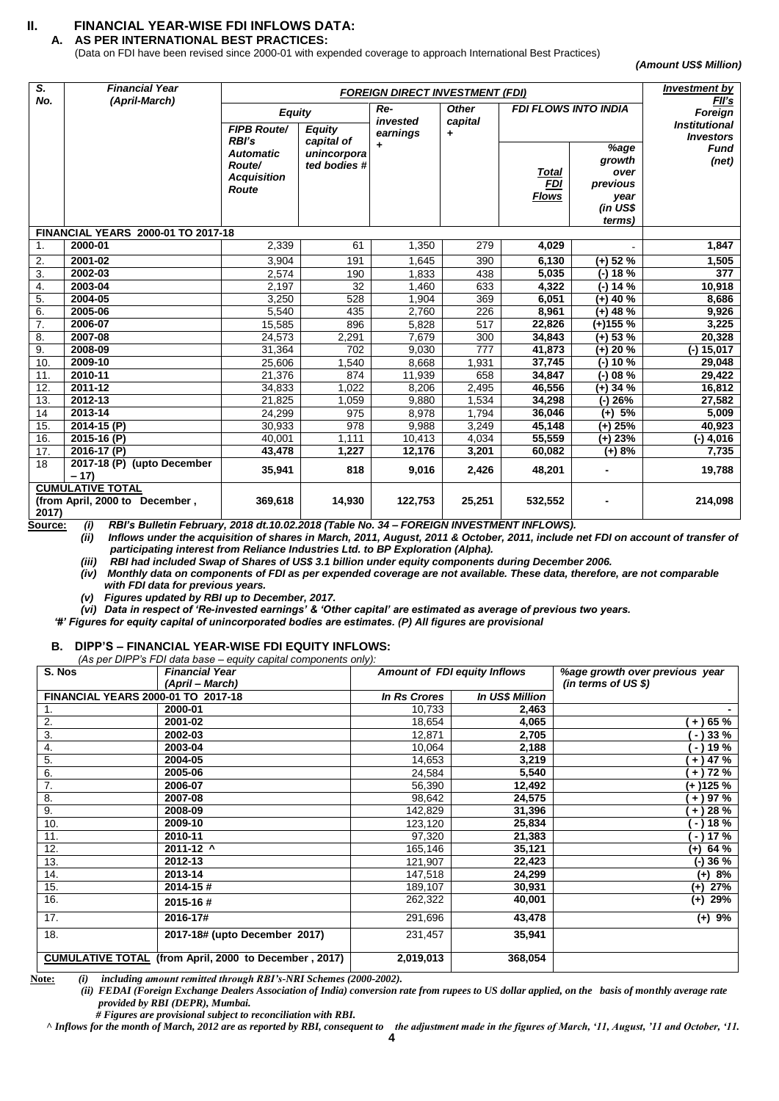# **II. FINANCIAL YEAR-WISE FDI INFLOWS DATA:**

**A. AS PER INTERNATIONAL BEST PRACTICES:**

(Data on FDI have been revised since 2000-01 with expended coverage to approach International Best Practices)

*(Amount US\$ Million)* 

| S.<br>No.      | <b>Financial Year</b><br>(April-March)                    |                                                                           |                                           | <b>FOREIGN DIRECT INVESTMENT (FDI)</b> |                         |                                            | <b>Investment by</b>                                             |                                          |
|----------------|-----------------------------------------------------------|---------------------------------------------------------------------------|-------------------------------------------|----------------------------------------|-------------------------|--------------------------------------------|------------------------------------------------------------------|------------------------------------------|
|                |                                                           | <b>Equity</b>                                                             |                                           | Re-<br>invested                        | <b>Other</b><br>capital | <b>FDI FLOWS INTO INDIA</b>                |                                                                  | FII's<br>Foreign                         |
|                |                                                           | <b>FIPB Route/</b>                                                        | <b>Equity</b>                             | earnings                               | ٠                       |                                            |                                                                  | <b>Institutional</b><br><b>Investors</b> |
|                |                                                           | RBI's<br><b>Automatic</b><br>Route/<br><b>Acquisition</b><br><b>Route</b> | capital of<br>unincorpora<br>ted bodies # | $\ddot{\phantom{1}}$                   |                         | <b>Total</b><br><b>FDI</b><br><u>Flows</u> | %age<br>growth<br>over<br>previous<br>year<br>(in US\$<br>terms) | <b>Fund</b><br>(net)                     |
|                | FINANCIAL YEARS 2000-01 TO 2017-18                        |                                                                           |                                           |                                        |                         |                                            |                                                                  |                                          |
| $\mathbf{1}$ . | 2000-01                                                   | 2,339                                                                     | 61                                        | 1,350                                  | 279                     | 4,029                                      |                                                                  | 1,847                                    |
| 2.             | 2001-02                                                   | 3,904                                                                     | 191                                       | 1,645                                  | 390                     | 6,130                                      | $(+)$ 52 %                                                       | 1,505                                    |
| 3.             | 2002-03                                                   | 2,574                                                                     | 190                                       | 1.833                                  | 438                     | 5,035                                      | $(-) 18 %$                                                       | 377                                      |
| 4.             | 2003-04                                                   | 2,197                                                                     | 32                                        | 1,460                                  | 633                     | 4,322                                      | $(-) 14 \%$                                                      | 10,918                                   |
| 5.             | 2004-05                                                   | 3,250                                                                     | 528                                       | 1,904                                  | 369                     | 6,051                                      | $(+)$ 40 %                                                       | 8,686                                    |
| 6.             | 2005-06                                                   | 5,540                                                                     | 435                                       | 2,760                                  | 226                     | 8,961                                      | $(+)$ 48 %                                                       | 9,926                                    |
| 7.             | 2006-07                                                   | 15,585                                                                    | 896                                       | 5,828                                  | 517                     | 22,826                                     | $(+)155%$                                                        | 3,225                                    |
| 8.             | 2007-08                                                   | 24,573                                                                    | 2,291                                     | 7,679                                  | 300                     | 34,843                                     | $(+)$ 53 %                                                       | 20,328                                   |
| 9.             | 2008-09                                                   | 31,364                                                                    | 702                                       | 9,030                                  | $\overline{777}$        | 41,873                                     | $(+) 20 \%$                                                      | $(-) 15,017$                             |
| 10.            | 2009-10                                                   | 25.606                                                                    | 1,540                                     | 8,668                                  | 1,931                   | 37,745                                     | $(-) 10 %$                                                       | 29,048                                   |
| 11.            | 2010-11                                                   | 21,376                                                                    | 874                                       | 11,939                                 | 658                     | 34,847                                     | $(-)$ 08 %                                                       | 29,422                                   |
| 12.            | 2011-12                                                   | 34,833                                                                    | 1,022                                     | 8,206                                  | 2,495                   | 46,556                                     | $(+)$ 34 %                                                       | 16,812                                   |
| 13.            | 2012-13                                                   | 21,825                                                                    | 1,059                                     | 9,880                                  | 1,534                   | 34,298                                     | $(-) 26%$                                                        | 27,582                                   |
| 14             | 2013-14                                                   | 24,299                                                                    | 975                                       | 8,978                                  | 1,794                   | 36,046                                     | $(+)$ 5%                                                         | 5,009                                    |
| 15.            | 2014-15 (P)                                               | 30,933                                                                    | 978                                       | 9,988                                  | 3,249                   | 45,148                                     | $(+)$ 25%                                                        | 40,923                                   |
| 16.            | 2015-16 (P)                                               | 40.001                                                                    | 1.111                                     | 10,413                                 | 4,034                   | 55,559                                     | $(+)$ 23%                                                        | (-) 4,016                                |
| 17.            | 2016-17 (P)                                               | 43,478                                                                    | 1,227                                     | 12,176                                 | 3,201                   | 60,082                                     | (+) 8%                                                           | 7,735                                    |
| 18             | 2017-18 (P) (upto December<br>$-17$                       | 35,941                                                                    | 818                                       | 9,016                                  | 2,426                   | 48,201                                     |                                                                  | 19,788                                   |
| 2017)          | <b>CUMULATIVE TOTAL</b><br>(from April, 2000 to December, | 369,618                                                                   | 14,930                                    | 122,753                                | 25,251                  | 532,552                                    |                                                                  | 214,098                                  |

**Source:** *(i) RBI's Bulletin February, 2018 dt.10.02.2018 (Table No. 34 – FOREIGN INVESTMENT INFLOWS).*

*(ii) Inflows under the acquisition of shares in March, 2011, August, 2011 & October, 2011, include net FDI on account of transfer of participating interest from Reliance Industries Ltd. to BP Exploration (Alpha).*

*(iii) RBI had included Swap of Shares of US\$ 3.1 billion under equity components during December 2006.*

*(iv) Monthly data on components of FDI as per expended coverage are not available. These data, therefore, are not comparable with FDI data for previous years.* 

*(v) Figures updated by RBI up to December, 2017.*

*(vi) Data in respect of 'Re-invested earnings' & 'Other capital' are estimated as average of previous two years.*

*'#' Figures for equity capital of unincorporated bodies are estimates. (P) All figures are provisional* 

#### **B. DIPP'S – FINANCIAL YEAR-WISE FDI EQUITY INFLOWS:**

| (As per DIPP's FDI data base – equity capital components only): |                                                       |                                     |                        |                                |  |  |
|-----------------------------------------------------------------|-------------------------------------------------------|-------------------------------------|------------------------|--------------------------------|--|--|
| S. Nos                                                          | <b>Financial Year</b>                                 | <b>Amount of FDI equity Inflows</b> |                        | %age growth over previous year |  |  |
|                                                                 | (April – March)                                       |                                     |                        | (in terms of US \$)            |  |  |
| <b>FINANCIAL YEARS 2000-01 TO 2017-18</b>                       |                                                       | <b>In Rs Crores</b>                 | <b>In US\$ Million</b> |                                |  |  |
| 1.                                                              | 2000-01                                               | 10,733                              | 2,463                  |                                |  |  |
| 2.                                                              | 2001-02                                               | 18,654                              | 4,065                  | $+$ ) 65 %                     |  |  |
| 3.                                                              | 2002-03                                               | 12,871                              | 2,705                  | - ) 33 %                       |  |  |
| 4.                                                              | 2003-04                                               | 10,064                              | 2,188                  | $-119%$                        |  |  |
| 5.                                                              | 2004-05                                               | 14,653                              | 3,219                  | $+$ ) 47 %                     |  |  |
| 6.                                                              | 2005-06                                               | 24,584                              | 5,540                  | $+$ ) 72 %                     |  |  |
| 7.                                                              | 2006-07                                               | 56,390                              | 12,492                 | (+ )125 %                      |  |  |
| 8.                                                              | 2007-08                                               | 98,642                              | 24,575                 | $+$ ) 97 %                     |  |  |
| 9.                                                              | 2008-09                                               | 142,829                             | 31,396                 | $+$ ) 28 %                     |  |  |
| 10.                                                             | 2009-10                                               | 123,120                             | 25,834                 | $-118%$                        |  |  |
| 11.                                                             | 2010-11                                               | 97,320                              | 21,383                 | $-$ ) 17 $%$                   |  |  |
| 12.                                                             | 2011-12 ^                                             | 165,146                             | 35,121                 | (+) 64 %                       |  |  |
| 13.                                                             | 2012-13                                               | 121,907                             | 22,423                 | (-) 36 %                       |  |  |
| 14.                                                             | 2013-14                                               | 147,518                             | 24,299                 | $(+) 8%$                       |  |  |
| 15.                                                             | 2014-15#                                              | 189,107                             | 30,931                 | 27%<br>$^{(+)}$                |  |  |
| 16.                                                             | 2015-16#                                              | 262,322                             | 40,001                 | 29%<br>$^{(+)}$                |  |  |
| 17.                                                             | 2016-17#                                              | 291,696                             | 43,478                 | (+) 9%                         |  |  |
| 18.                                                             | 2017-18# (upto December 2017)                         | 231,457                             | 35,941                 |                                |  |  |
|                                                                 | CUMULATIVE TOTAL (from April, 2000 to December, 2017) | 2,019,013                           | 368,054                |                                |  |  |

**Note:** *(i) including amount remitted through RBI's-NRI Schemes (2000-2002).*

*(ii) FEDAI (Foreign Exchange Dealers Association of India) conversion rate from rupees to US dollar applied, on the basis of monthly average rate provided by RBI (DEPR), Mumbai.*

 *# Figures are provisional subject to reconciliation with RBI.* 

*^ Inflows for the month of March, 2012 are as reported by RBI, consequent to the adjustment made in the figures of March, '11, August, '11 and October, '11.*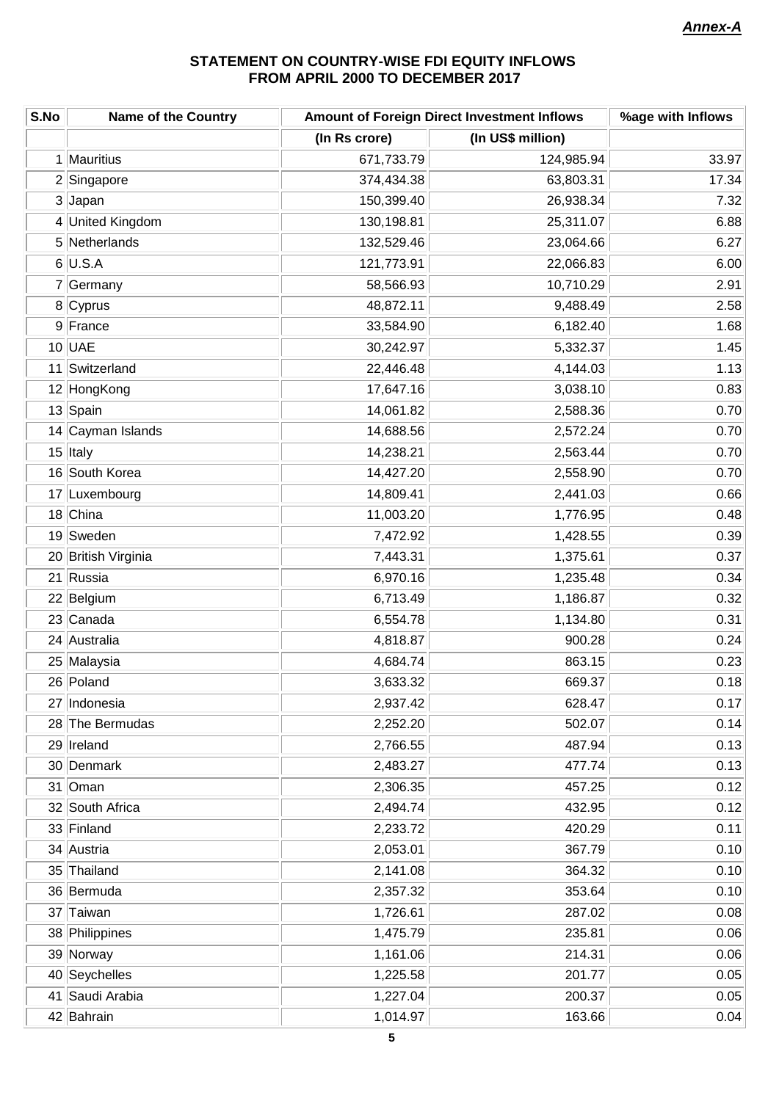# **STATEMENT ON COUNTRY-WISE FDI EQUITY INFLOWS FROM APRIL 2000 TO DECEMBER 2017**

| S.No | <b>Name of the Country</b> | Amount of Foreign Direct Investment Inflows | %age with Inflows |       |
|------|----------------------------|---------------------------------------------|-------------------|-------|
|      |                            | (In Rs crore)                               | (In US\$ million) |       |
|      | 1 Mauritius                | 671,733.79                                  | 124,985.94        | 33.97 |
|      | 2 Singapore                | 374,434.38                                  | 63,803.31         | 17.34 |
|      | 3 Japan                    | 150,399.40                                  | 26,938.34         | 7.32  |
|      | 4 United Kingdom           | 130,198.81                                  | 25,311.07         | 6.88  |
|      | 5 Netherlands              | 132,529.46                                  | 23,064.66         | 6.27  |
|      | $6$ U.S.A                  | 121,773.91                                  | 22,066.83         | 6.00  |
|      | 7 Germany                  | 58,566.93                                   | 10,710.29         | 2.91  |
|      | 8 Cyprus                   | 48,872.11                                   | 9,488.49          | 2.58  |
|      | 9 France                   | 33,584.90                                   | 6,182.40          | 1.68  |
|      | $10$ UAE                   | 30,242.97                                   | 5,332.37          | 1.45  |
|      | 11 Switzerland             | 22,446.48                                   | 4,144.03          | 1.13  |
|      | 12 HongKong                | 17,647.16                                   | 3,038.10          | 0.83  |
|      | 13 Spain                   | 14,061.82                                   | 2,588.36          | 0.70  |
|      | 14 Cayman Islands          | 14,688.56                                   | 2,572.24          | 0.70  |
|      | 15 Italy                   | 14,238.21                                   | 2,563.44          | 0.70  |
|      | 16 South Korea             | 14,427.20                                   | 2,558.90          | 0.70  |
|      | 17 Luxembourg              | 14,809.41                                   | 2,441.03          | 0.66  |
|      | 18 China                   | 11,003.20                                   | 1,776.95          | 0.48  |
|      | 19 Sweden                  | 7,472.92                                    | 1,428.55          | 0.39  |
|      | 20 British Virginia        | 7,443.31                                    | 1,375.61          | 0.37  |
|      | 21 Russia                  | 6,970.16                                    | 1,235.48          | 0.34  |
|      | 22 Belgium                 | 6,713.49                                    | 1,186.87          | 0.32  |
|      | 23 Canada                  | 6,554.78                                    | 1,134.80          | 0.31  |
|      | 24 Australia               | 4,818.87                                    | 900.28            | 0.24  |
|      | 25 Malaysia                | 4,684.74                                    | 863.15            | 0.23  |
|      | 26 Poland                  | 3,633.32                                    | 669.37            | 0.18  |
|      | 27 Indonesia               | 2,937.42                                    | 628.47            | 0.17  |
|      | 28 The Bermudas            | 2,252.20                                    | 502.07            | 0.14  |
|      | 29   Ireland               | 2,766.55                                    | 487.94            | 0.13  |
|      | 30 Denmark                 | 2,483.27                                    | 477.74            | 0.13  |
|      | 31 Oman                    | 2,306.35                                    | 457.25            | 0.12  |
|      | 32 South Africa            | 2,494.74                                    | 432.95            | 0.12  |
|      | 33 Finland                 | 2,233.72                                    | 420.29            | 0.11  |
|      | 34 Austria                 | 2,053.01                                    | 367.79            | 0.10  |
|      | 35 Thailand                | 2,141.08                                    | 364.32            | 0.10  |
|      | 36 Bermuda                 | 2,357.32                                    | 353.64            | 0.10  |
|      | 37 Taiwan                  | 1,726.61                                    | 287.02            | 0.08  |
|      | 38 Philippines             | 1,475.79                                    | 235.81            | 0.06  |
|      | 39 Norway                  | 1,161.06                                    | 214.31            | 0.06  |
|      | 40 Seychelles              | 1,225.58                                    | 201.77            | 0.05  |
|      | 41 Saudi Arabia            | 1,227.04                                    | 200.37            | 0.05  |
|      | 42 Bahrain                 | 1,014.97                                    | 163.66            | 0.04  |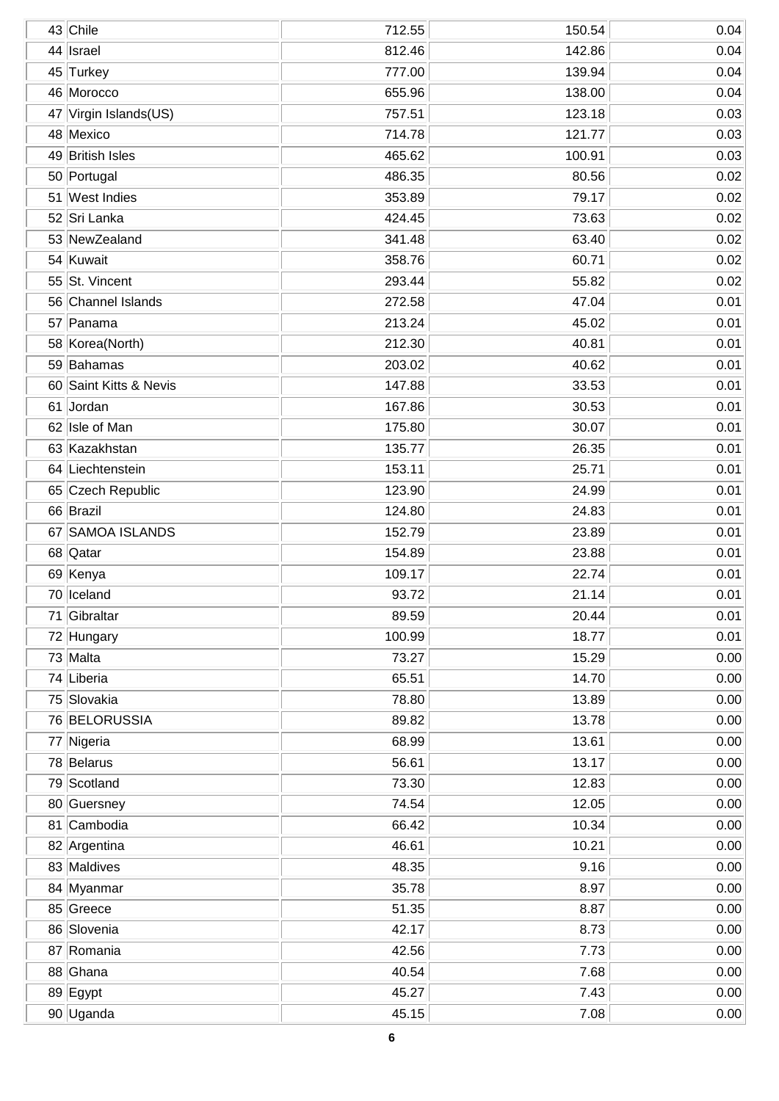|    | 43 Chile               | 712.55 | 150.54 | 0.04 |
|----|------------------------|--------|--------|------|
| 44 | Israel                 | 812.46 | 142.86 | 0.04 |
|    | 45 Turkey              | 777.00 | 139.94 | 0.04 |
|    | 46 Morocco             | 655.96 | 138.00 | 0.04 |
| 47 | Virgin Islands(US)     | 757.51 | 123.18 | 0.03 |
|    | 48 Mexico              | 714.78 | 121.77 | 0.03 |
|    | 49 British Isles       | 465.62 | 100.91 | 0.03 |
|    | 50 Portugal            | 486.35 | 80.56  | 0.02 |
|    | 51 West Indies         | 353.89 | 79.17  | 0.02 |
|    | 52 Sri Lanka           | 424.45 | 73.63  | 0.02 |
|    | 53 NewZealand          | 341.48 | 63.40  | 0.02 |
|    | 54 Kuwait              | 358.76 | 60.71  | 0.02 |
|    | 55 St. Vincent         | 293.44 | 55.82  | 0.02 |
|    | 56 Channel Islands     | 272.58 | 47.04  | 0.01 |
|    | 57 Panama              | 213.24 | 45.02  | 0.01 |
|    | 58 Korea(North)        | 212.30 | 40.81  | 0.01 |
|    | 59 Bahamas             | 203.02 | 40.62  | 0.01 |
|    | 60 Saint Kitts & Nevis | 147.88 | 33.53  | 0.01 |
|    | 61 Jordan              | 167.86 | 30.53  | 0.01 |
|    | 62 Isle of Man         | 175.80 | 30.07  | 0.01 |
|    | 63 Kazakhstan          | 135.77 | 26.35  | 0.01 |
|    | 64 Liechtenstein       | 153.11 | 25.71  | 0.01 |
|    | 65 Czech Republic      | 123.90 | 24.99  | 0.01 |
|    | 66 Brazil              | 124.80 | 24.83  | 0.01 |
|    | 67 SAMOA ISLANDS       | 152.79 | 23.89  | 0.01 |
|    | 68 Qatar               | 154.89 | 23.88  | 0.01 |
|    | 69 Kenya               | 109.17 | 22.74  | 0.01 |
|    | 70 Iceland             | 93.72  | 21.14  | 0.01 |
|    | 71 Gibraltar           | 89.59  | 20.44  | 0.01 |
|    | 72 Hungary             | 100.99 | 18.77  | 0.01 |
|    | 73 Malta               | 73.27  | 15.29  | 0.00 |
|    | 74 Liberia             | 65.51  | 14.70  | 0.00 |
|    | 75 Slovakia            | 78.80  | 13.89  | 0.00 |
|    | 76 BELORUSSIA          | 89.82  | 13.78  | 0.00 |
|    | 77 Nigeria             | 68.99  | 13.61  | 0.00 |
|    | 78 Belarus             | 56.61  | 13.17  | 0.00 |
|    | 79 Scotland            | 73.30  | 12.83  | 0.00 |
|    | 80 Guersney            | 74.54  | 12.05  | 0.00 |
|    | 81 Cambodia            | 66.42  | 10.34  | 0.00 |
|    | 82 Argentina           | 46.61  | 10.21  | 0.00 |
|    | 83 Maldives            | 48.35  | 9.16   | 0.00 |
|    | 84 Myanmar             | 35.78  | 8.97   | 0.00 |
|    | 85 Greece              | 51.35  | 8.87   | 0.00 |
|    | 86 Slovenia            | 42.17  | 8.73   | 0.00 |
|    | 87 Romania             | 42.56  | 7.73   | 0.00 |
|    | 88 Ghana               | 40.54  | 7.68   | 0.00 |
|    | 89 Egypt               | 45.27  | 7.43   | 0.00 |
|    | 90 Uganda              | 45.15  | 7.08   | 0.00 |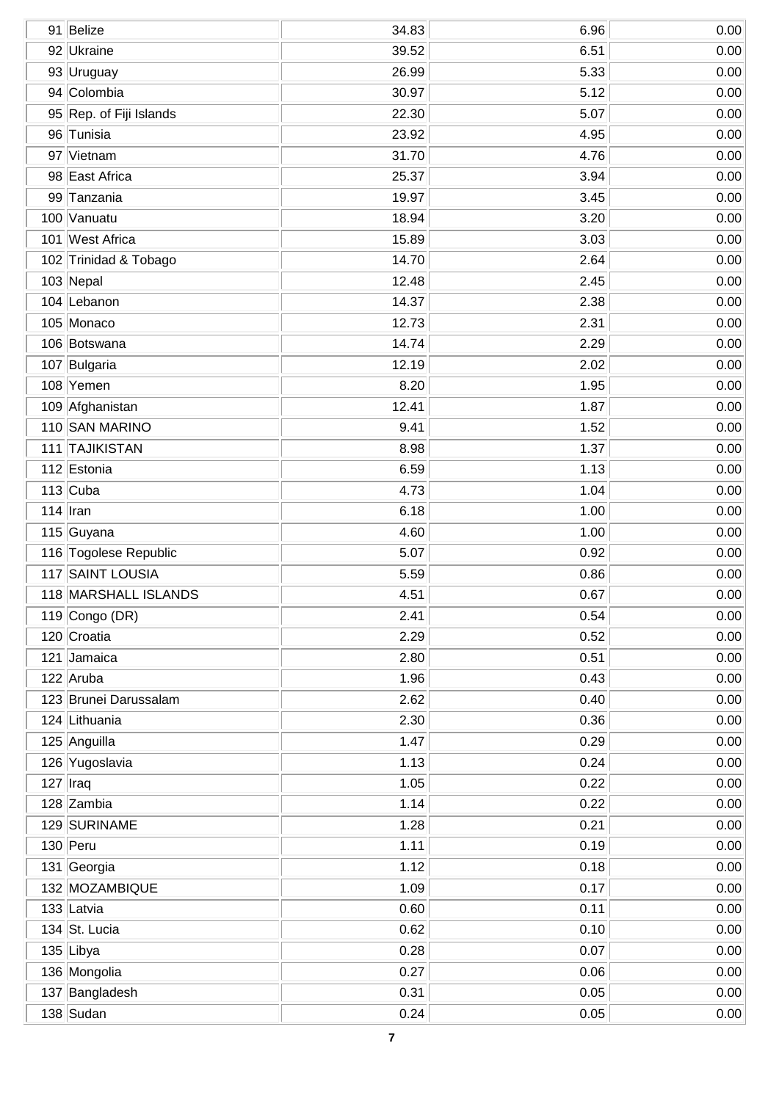| 91 Belize               | 34.83 | 6.96 | 0.00 |
|-------------------------|-------|------|------|
| 92 Ukraine              | 39.52 | 6.51 | 0.00 |
| 93 Uruguay              | 26.99 | 5.33 | 0.00 |
| 94 Colombia             | 30.97 | 5.12 | 0.00 |
| 95 Rep. of Fiji Islands | 22.30 | 5.07 | 0.00 |
| 96 Tunisia              | 23.92 | 4.95 | 0.00 |
| 97 Vietnam              | 31.70 | 4.76 | 0.00 |
| 98 East Africa          | 25.37 | 3.94 | 0.00 |
| 99 Tanzania             | 19.97 | 3.45 | 0.00 |
| 100 Vanuatu             | 18.94 | 3.20 | 0.00 |
| 101 West Africa         | 15.89 | 3.03 | 0.00 |
| 102 Trinidad & Tobago   | 14.70 | 2.64 | 0.00 |
| 103 Nepal               | 12.48 | 2.45 | 0.00 |
| 104 Lebanon             | 14.37 | 2.38 | 0.00 |
| 105 Monaco              | 12.73 | 2.31 | 0.00 |
| 106 Botswana            | 14.74 | 2.29 | 0.00 |
| 107 Bulgaria            | 12.19 | 2.02 | 0.00 |
| 108 Yemen               | 8.20  | 1.95 | 0.00 |
| 109 Afghanistan         | 12.41 | 1.87 | 0.00 |
| 110 SAN MARINO          | 9.41  | 1.52 | 0.00 |
| 111 TAJIKISTAN          | 8.98  | 1.37 | 0.00 |
| 112 Estonia             | 6.59  | 1.13 | 0.00 |
| $113$ Cuba              | 4.73  | 1.04 | 0.00 |
| $114$  Iran             | 6.18  | 1.00 | 0.00 |
| 115 Guyana              | 4.60  | 1.00 | 0.00 |
| 116 Togolese Republic   | 5.07  | 0.92 | 0.00 |
| 117 SAINT LOUSIA        | 5.59  | 0.86 | 0.00 |
| 118 MARSHALL ISLANDS    | 4.51  | 0.67 | 0.00 |
| 119 Congo (DR)          | 2.41  | 0.54 | 0.00 |
| 120 Croatia             | 2.29  | 0.52 | 0.00 |
| 121 Jamaica             | 2.80  | 0.51 | 0.00 |
| 122 Aruba               | 1.96  | 0.43 | 0.00 |
| 123 Brunei Darussalam   | 2.62  | 0.40 | 0.00 |
| 124 Lithuania           | 2.30  | 0.36 | 0.00 |
| 125 Anguilla            | 1.47  | 0.29 | 0.00 |
| 126 Yugoslavia          | 1.13  | 0.24 | 0.00 |
| $127$ Iraq              | 1.05  | 0.22 | 0.00 |
| 128 Zambia              | 1.14  | 0.22 | 0.00 |
| 129 SURINAME            | 1.28  | 0.21 | 0.00 |
| $130$ Peru              | 1.11  | 0.19 | 0.00 |
| 131 Georgia             | 1.12  | 0.18 | 0.00 |
| 132 MOZAMBIQUE          | 1.09  | 0.17 | 0.00 |
| 133 Latvia              | 0.60  | 0.11 | 0.00 |
| 134 St. Lucia           | 0.62  | 0.10 | 0.00 |
| 135 Libya               | 0.28  | 0.07 | 0.00 |
| 136 Mongolia            | 0.27  | 0.06 | 0.00 |
| 137 Bangladesh          | 0.31  | 0.05 | 0.00 |
| $138$ Sudan             | 0.24  | 0.05 | 0.00 |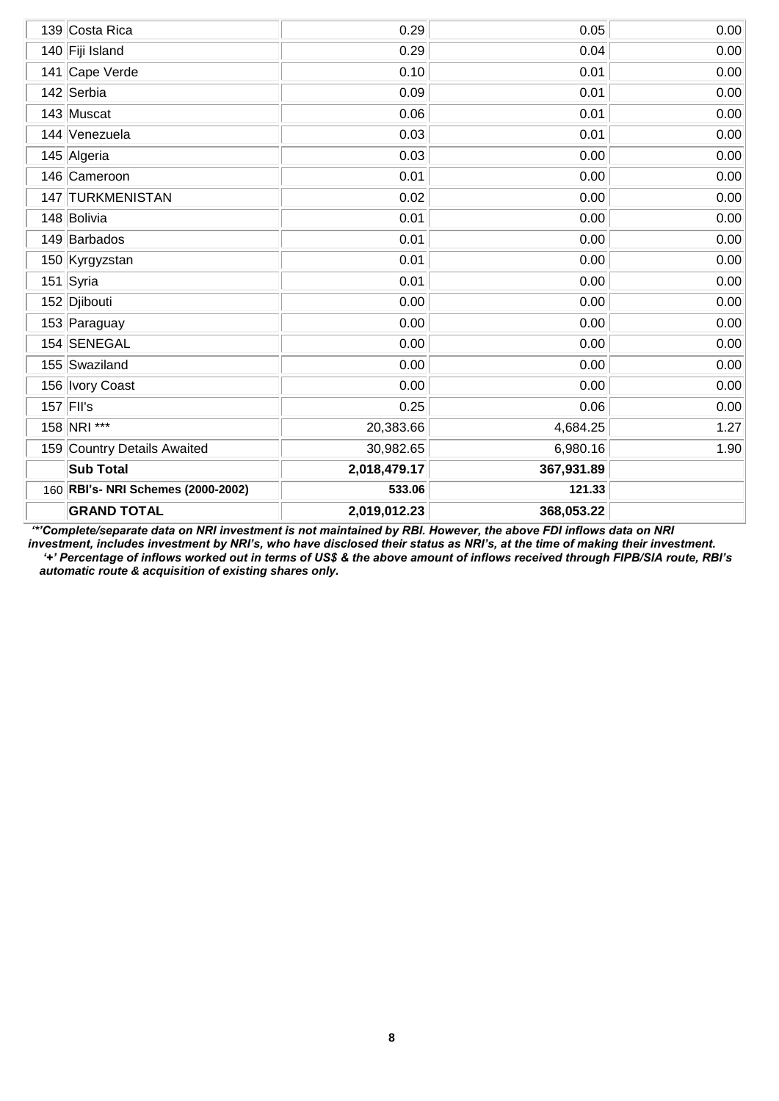| 139 Costa Rica                     | 0.29         | 0.05       | 0.00 |
|------------------------------------|--------------|------------|------|
| 140 Fiji Island                    | 0.29         | 0.04       | 0.00 |
| 141 Cape Verde                     | 0.10         | 0.01       | 0.00 |
| 142 Serbia                         | 0.09         | 0.01       | 0.00 |
| 143 Muscat                         | 0.06         | 0.01       | 0.00 |
| 144 Venezuela                      | 0.03         | 0.01       | 0.00 |
| 145 Algeria                        | 0.03         | 0.00       | 0.00 |
| 146 Cameroon                       | 0.01         | 0.00       | 0.00 |
| 147 TURKMENISTAN                   | 0.02         | 0.00       | 0.00 |
| 148 Bolivia                        | 0.01         | 0.00       | 0.00 |
| 149 Barbados                       | 0.01         | 0.00       | 0.00 |
| 150 Kyrgyzstan                     | 0.01         | 0.00       | 0.00 |
| 151 Syria                          | 0.01         | 0.00       | 0.00 |
| 152 Djibouti                       | 0.00         | 0.00       | 0.00 |
| 153 Paraguay                       | 0.00         | 0.00       | 0.00 |
| 154 SENEGAL                        | 0.00         | 0.00       | 0.00 |
| 155 Swaziland                      | 0.00         | 0.00       | 0.00 |
| 156 Ivory Coast                    | 0.00         | 0.00       | 0.00 |
| $157$ FII's                        | 0.25         | 0.06       | 0.00 |
| 158 NRI ***                        | 20,383.66    | 4,684.25   | 1.27 |
| 159 Country Details Awaited        | 30,982.65    | 6,980.16   | 1.90 |
| <b>Sub Total</b>                   | 2,018,479.17 | 367,931.89 |      |
| 160 RBI's- NRI Schemes (2000-2002) | 533.06       | 121.33     |      |
| <b>GRAND TOTAL</b>                 | 2,019,012.23 | 368,053.22 |      |

*'\*'Complete/separate data on NRI investment is not maintained by RBI. However, the above FDI inflows data on NRI investment, includes investment by NRI's, who have disclosed their status as NRI's, at the time of making their investment. '+' Percentage of inflows worked out in terms of US\$ & the above amount of inflows received through FIPB/SIA route, RBI's automatic route & acquisition of existing shares only.*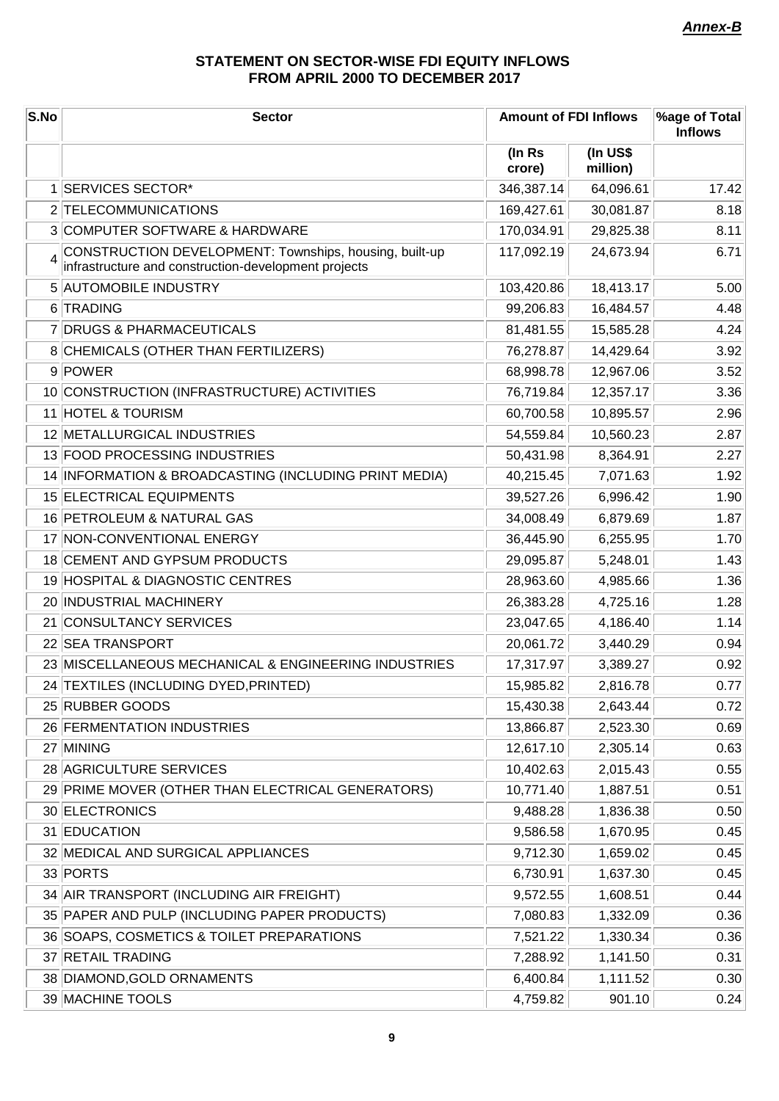# **STATEMENT ON SECTOR-WISE FDI EQUITY INFLOWS FROM APRIL 2000 TO DECEMBER 2017**

| S.No | <b>Sector</b>                                                                                                    | <b>Amount of FDI Inflows</b> |                      | %age of Total<br><b>Inflows</b> |
|------|------------------------------------------------------------------------------------------------------------------|------------------------------|----------------------|---------------------------------|
|      |                                                                                                                  | (In Rs<br>crore)             | (In US\$<br>million) |                                 |
|      | 1 SERVICES SECTOR*                                                                                               | 346,387.14                   | 64,096.61            | 17.42                           |
|      | 2 TELECOMMUNICATIONS                                                                                             | 169,427.61                   | 30,081.87            | 8.18                            |
|      | 3 COMPUTER SOFTWARE & HARDWARE                                                                                   | 170,034.91                   | 29,825.38            | 8.11                            |
|      | 4 CONSTRUCTION DEVELOPMENT: Townships, housing, built-up<br>infrastructure and construction-development projects | 117,092.19                   | 24,673.94            | 6.71                            |
|      | 5 AUTOMOBILE INDUSTRY                                                                                            | 103,420.86                   | 18,413.17            | 5.00                            |
|      | 6 TRADING                                                                                                        | 99,206.83                    | 16,484.57            | 4.48                            |
|      | 7 DRUGS & PHARMACEUTICALS                                                                                        | 81,481.55                    | 15,585.28            | 4.24                            |
|      | 8 CHEMICALS (OTHER THAN FERTILIZERS)                                                                             | 76,278.87                    | 14,429.64            | 3.92                            |
|      | 9 POWER                                                                                                          | 68,998.78                    | 12,967.06            | 3.52                            |
|      | 10 CONSTRUCTION (INFRASTRUCTURE) ACTIVITIES                                                                      | 76,719.84                    | 12,357.17            | 3.36                            |
|      | 11 HOTEL & TOURISM                                                                                               | 60,700.58                    | 10,895.57            | 2.96                            |
|      | 12 METALLURGICAL INDUSTRIES                                                                                      | 54,559.84                    | 10,560.23            | 2.87                            |
|      | 13 FOOD PROCESSING INDUSTRIES                                                                                    | 50,431.98                    | 8,364.91             | 2.27                            |
|      | 14 INFORMATION & BROADCASTING (INCLUDING PRINT MEDIA)                                                            | 40,215.45                    | 7,071.63             | 1.92                            |
|      | 15 ELECTRICAL EQUIPMENTS                                                                                         | 39,527.26                    | 6,996.42             | 1.90                            |
|      | 16 PETROLEUM & NATURAL GAS                                                                                       | 34,008.49                    | 6,879.69             | 1.87                            |
|      | 17 NON-CONVENTIONAL ENERGY                                                                                       | 36,445.90                    | 6,255.95             | 1.70                            |
|      | 18 CEMENT AND GYPSUM PRODUCTS                                                                                    | 29,095.87                    | 5,248.01             | 1.43                            |
|      | 19 HOSPITAL & DIAGNOSTIC CENTRES                                                                                 | 28,963.60                    | 4,985.66             | 1.36                            |
|      | 20 INDUSTRIAL MACHINERY                                                                                          | 26,383.28                    | 4,725.16             | 1.28                            |
|      | 21 CONSULTANCY SERVICES                                                                                          | 23,047.65                    | 4,186.40             | 1.14                            |
|      | 22 SEA TRANSPORT                                                                                                 | 20,061.72                    | 3,440.29             | 0.94                            |
|      | 23 MISCELLANEOUS MECHANICAL & ENGINEERING INDUSTRIES                                                             | 17,317.97                    | 3,389.27             | 0.92                            |
|      | 24 TEXTILES (INCLUDING DYED, PRINTED)                                                                            | 15,985.82                    | 2,816.78             | 0.77                            |
|      | 25 RUBBER GOODS                                                                                                  | 15,430.38                    | 2,643.44             | 0.72                            |
|      | 26 FERMENTATION INDUSTRIES                                                                                       | 13,866.87                    | 2,523.30             | 0.69                            |
|      | 27 MINING                                                                                                        | 12,617.10                    | 2,305.14             | 0.63                            |
|      | 28 AGRICULTURE SERVICES                                                                                          | 10,402.63                    | 2,015.43             | 0.55                            |
|      | 29 PRIME MOVER (OTHER THAN ELECTRICAL GENERATORS)                                                                | 10,771.40                    | 1,887.51             | 0.51                            |
|      | 30 ELECTRONICS                                                                                                   | 9,488.28                     | 1,836.38             | 0.50                            |
|      | 31 EDUCATION                                                                                                     | 9,586.58                     | 1,670.95             | 0.45                            |
|      | 32 MEDICAL AND SURGICAL APPLIANCES                                                                               | 9,712.30                     | 1,659.02             | 0.45                            |
|      | 33 PORTS                                                                                                         | 6,730.91                     | 1,637.30             | 0.45                            |
|      | 34 AIR TRANSPORT (INCLUDING AIR FREIGHT)                                                                         | 9,572.55                     | 1,608.51             | 0.44                            |
|      | 35 PAPER AND PULP (INCLUDING PAPER PRODUCTS)                                                                     | 7,080.83                     | 1,332.09             | 0.36                            |
|      | 36 SOAPS, COSMETICS & TOILET PREPARATIONS                                                                        | 7,521.22                     | 1,330.34             | 0.36                            |
|      | 37 RETAIL TRADING                                                                                                | 7,288.92                     | 1,141.50             | 0.31                            |
|      | 38 DIAMOND, GOLD ORNAMENTS                                                                                       | 6,400.84                     | 1,111.52             | 0.30                            |
|      | 39 MACHINE TOOLS                                                                                                 | 4,759.82                     | 901.10               | 0.24                            |